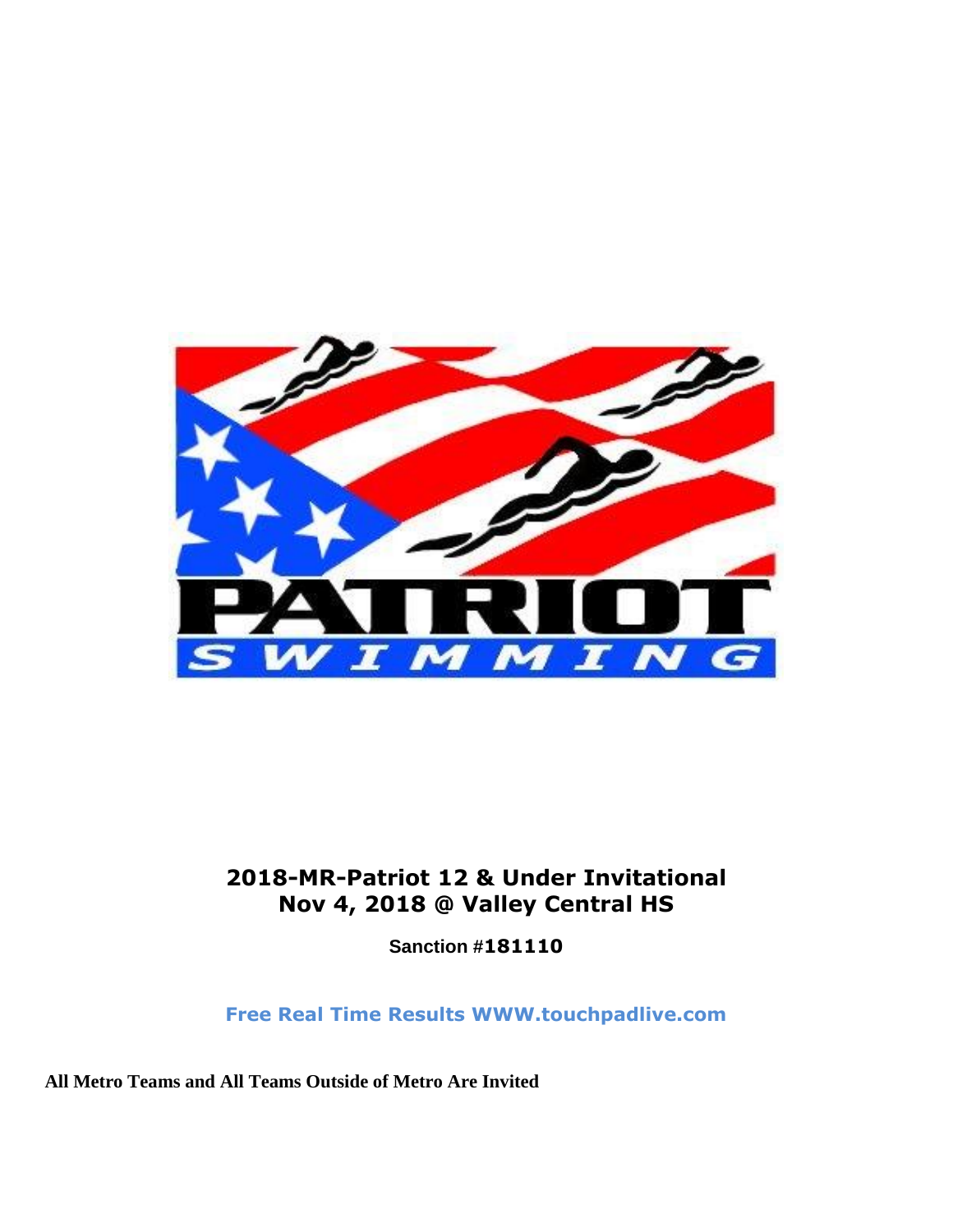

## **2018-MR-Patriot 12 & Under Invitational Nov 4, 2018 @ Valley Central HS**

**Sanction #181110**

**Free Real Time Results WWW.touchpadlive.com**

**All Metro Teams and All Teams Outside of Metro Are Invited**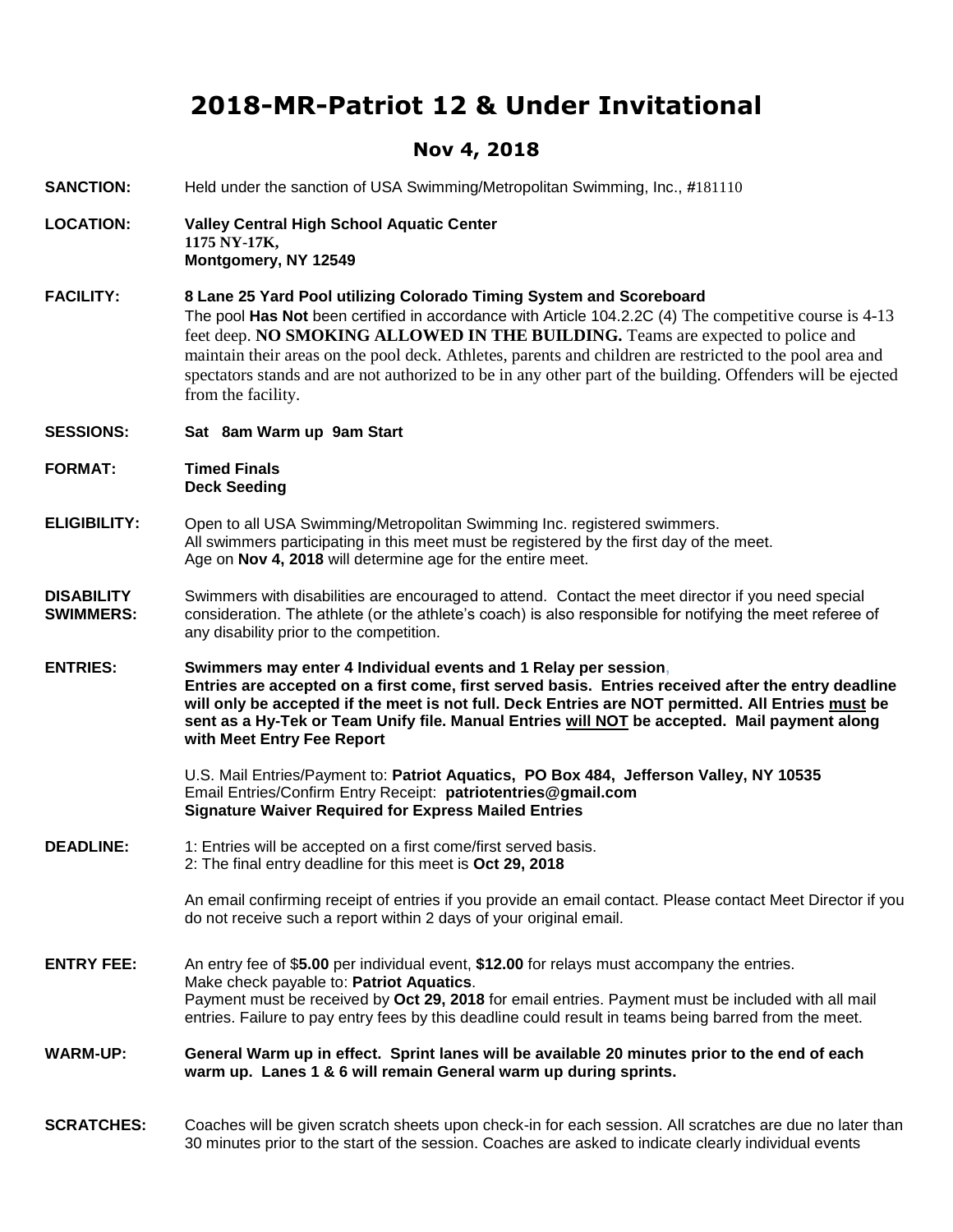## **2018-MR-Patriot 12 & Under Invitational**

## **Nov 4, 2018**

| <b>SANCTION:</b>                      | Held under the sanction of USA Swimming/Metropolitan Swimming, Inc., #181110                                                                                                                                                                                                                                                                                                                                                                                                                                       |  |  |
|---------------------------------------|--------------------------------------------------------------------------------------------------------------------------------------------------------------------------------------------------------------------------------------------------------------------------------------------------------------------------------------------------------------------------------------------------------------------------------------------------------------------------------------------------------------------|--|--|
| <b>LOCATION:</b>                      | Valley Central High School Aquatic Center<br>1175 NY-17K,<br>Montgomery, NY 12549                                                                                                                                                                                                                                                                                                                                                                                                                                  |  |  |
| <b>FACILITY:</b>                      | 8 Lane 25 Yard Pool utilizing Colorado Timing System and Scoreboard<br>The pool Has Not been certified in accordance with Article 104.2.2C (4) The competitive course is 4-13<br>feet deep. NO SMOKING ALLOWED IN THE BUILDING. Teams are expected to police and<br>maintain their areas on the pool deck. Athletes, parents and children are restricted to the pool area and<br>spectators stands and are not authorized to be in any other part of the building. Offenders will be ejected<br>from the facility. |  |  |
| <b>SESSIONS:</b>                      | Sat 8am Warm up 9am Start                                                                                                                                                                                                                                                                                                                                                                                                                                                                                          |  |  |
| <b>FORMAT:</b>                        | <b>Timed Finals</b><br><b>Deck Seeding</b>                                                                                                                                                                                                                                                                                                                                                                                                                                                                         |  |  |
| <b>ELIGIBILITY:</b>                   | Open to all USA Swimming/Metropolitan Swimming Inc. registered swimmers.<br>All swimmers participating in this meet must be registered by the first day of the meet.<br>Age on Nov 4, 2018 will determine age for the entire meet.                                                                                                                                                                                                                                                                                 |  |  |
| <b>DISABILITY</b><br><b>SWIMMERS:</b> | Swimmers with disabilities are encouraged to attend. Contact the meet director if you need special<br>consideration. The athlete (or the athlete's coach) is also responsible for notifying the meet referee of<br>any disability prior to the competition.                                                                                                                                                                                                                                                        |  |  |
| <b>ENTRIES:</b>                       | Swimmers may enter 4 Individual events and 1 Relay per session,<br>Entries are accepted on a first come, first served basis. Entries received after the entry deadline<br>will only be accepted if the meet is not full. Deck Entries are NOT permitted. All Entries must be<br>sent as a Hy-Tek or Team Unify file. Manual Entries will NOT be accepted. Mail payment along<br>with Meet Entry Fee Report                                                                                                         |  |  |
|                                       |                                                                                                                                                                                                                                                                                                                                                                                                                                                                                                                    |  |  |
|                                       | U.S. Mail Entries/Payment to: Patriot Aquatics, PO Box 484, Jefferson Valley, NY 10535<br>Email Entries/Confirm Entry Receipt: patriotentries@gmail.com<br><b>Signature Waiver Required for Express Mailed Entries</b>                                                                                                                                                                                                                                                                                             |  |  |
| <b>DEADLINE:</b>                      | 1: Entries will be accepted on a first come/first served basis.<br>2: The final entry deadline for this meet is Oct 29, 2018                                                                                                                                                                                                                                                                                                                                                                                       |  |  |
|                                       | An email confirming receipt of entries if you provide an email contact. Please contact Meet Director if you<br>do not receive such a report within 2 days of your original email.                                                                                                                                                                                                                                                                                                                                  |  |  |
| <b>ENTRY FEE:</b>                     | An entry fee of \$5.00 per individual event, \$12.00 for relays must accompany the entries.<br>Make check payable to: Patriot Aquatics.<br>Payment must be received by Oct 29, 2018 for email entries. Payment must be included with all mail<br>entries. Failure to pay entry fees by this deadline could result in teams being barred from the meet.                                                                                                                                                             |  |  |
| <b>WARM-UP:</b>                       | General Warm up in effect. Sprint lanes will be available 20 minutes prior to the end of each<br>warm up. Lanes 1 & 6 will remain General warm up during sprints.                                                                                                                                                                                                                                                                                                                                                  |  |  |

**SCRATCHES:** Coaches will be given scratch sheets upon check-in for each session. All scratches are due no later than 30 minutes prior to the start of the session. Coaches are asked to indicate clearly individual events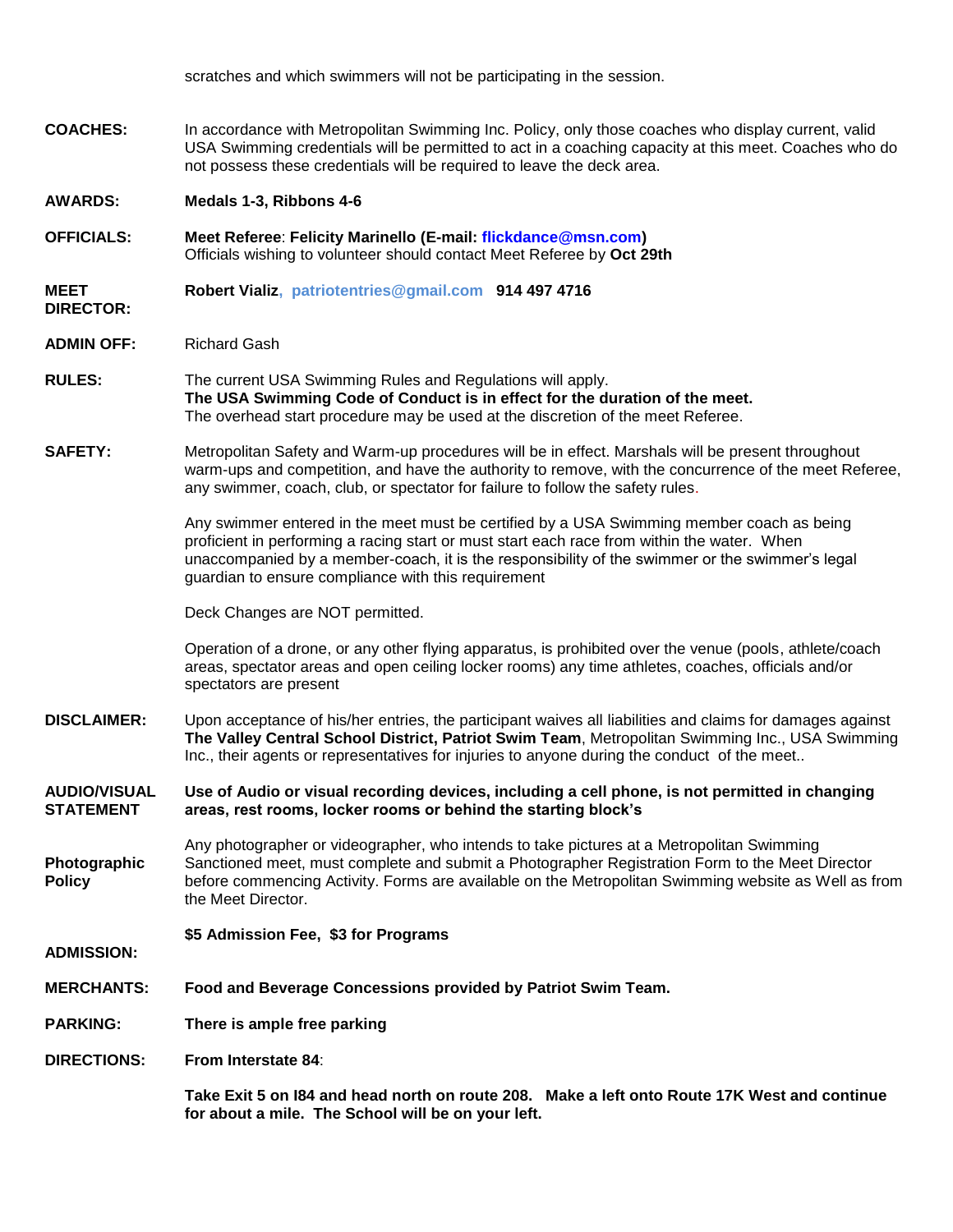scratches and which swimmers will not be participating in the session.

**COACHES:** In accordance with Metropolitan Swimming Inc. Policy, only those coaches who display current, valid USA Swimming credentials will be permitted to act in a coaching capacity at this meet. Coaches who do not possess these credentials will be required to leave the deck area.

**AWARDS: Medals 1-3, Ribbons 4-6** 

**OFFICIALS: Meet Referee**: **Felicity Marinello (E-mail: flickdance@msn.com)**  Officials wishing to volunteer should contact Meet Referee by **Oct 29th** 

**MEET Robert Vializ, patriotentries@gmail.com 914 497 4716**

**DIRECTOR:**

**ADMIN OFF:** Richard Gash

- **RULES:** The current USA Swimming Rules and Regulations will apply. **The USA Swimming Code of Conduct is in effect for the duration of the meet.** The overhead start procedure may be used at the discretion of the meet Referee.
- **SAFETY:** Metropolitan Safety and Warm-up procedures will be in effect. Marshals will be present throughout warm-ups and competition, and have the authority to remove, with the concurrence of the meet Referee, any swimmer, coach, club, or spectator for failure to follow the safety rules.

Any swimmer entered in the meet must be certified by a USA Swimming member coach as being proficient in performing a racing start or must start each race from within the water. When unaccompanied by a member-coach, it is the responsibility of the swimmer or the swimmer's legal guardian to ensure compliance with this requirement

Deck Changes are NOT permitted.

Operation of a drone, or any other flying apparatus, is prohibited over the venue (pools, athlete/coach areas, spectator areas and open ceiling locker rooms) any time athletes, coaches, officials and/or spectators are present

**DISCLAIMER:** Upon acceptance of his/her entries, the participant waives all liabilities and claims for damages against **The Valley Central School District, Patriot Swim Team**, Metropolitan Swimming Inc., USA Swimming Inc., their agents or representatives for injuries to anyone during the conduct of the meet..

**AUDIO/VISUAL STATEMENT Use of Audio or visual recording devices, including a cell phone, is not permitted in changing areas, rest rooms, locker rooms or behind the starting block's**

**Photographic Policy** Any photographer or videographer, who intends to take pictures at a Metropolitan Swimming Sanctioned meet, must complete and submit a Photographer Registration Form to the Meet Director before commencing Activity. Forms are available on the Metropolitan Swimming website as Well as from the Meet Director.

- **\$5 Admission Fee, \$3 for Programs**
- **ADMISSION:**
- **MERCHANTS: Food and Beverage Concessions provided by Patriot Swim Team.**

**PARKING: There is ample free parking** 

**DIRECTIONS: From Interstate 84**:

**Take Exit 5 on I84 and head north on route 208. Make a left onto Route 17K West and continue for about a mile. The School will be on your left.**